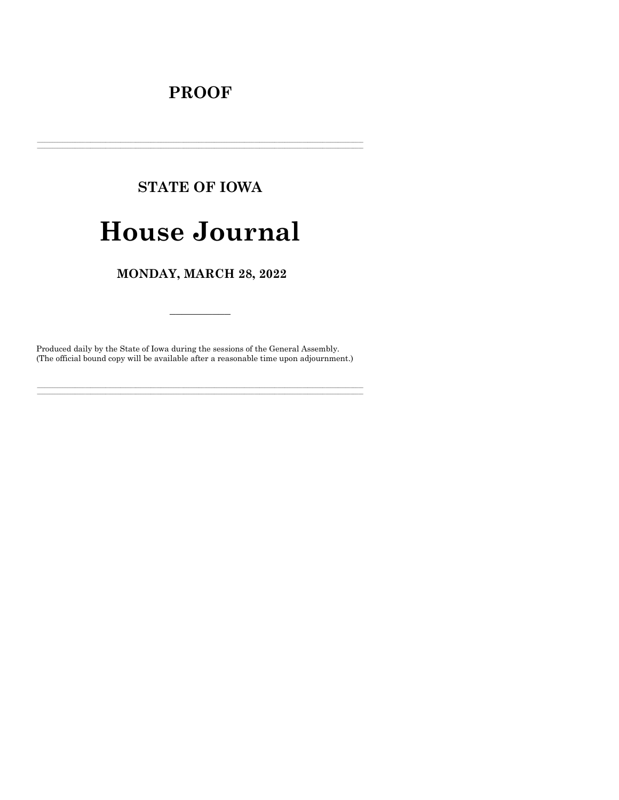# **PROOF**

# **STATE OF IOWA**

# **House Journal**

MONDAY, MARCH 28, 2022

Produced daily by the State of Iowa during the sessions of the General Assembly. (The official bound copy will be available after a reasonable time upon adjournment.)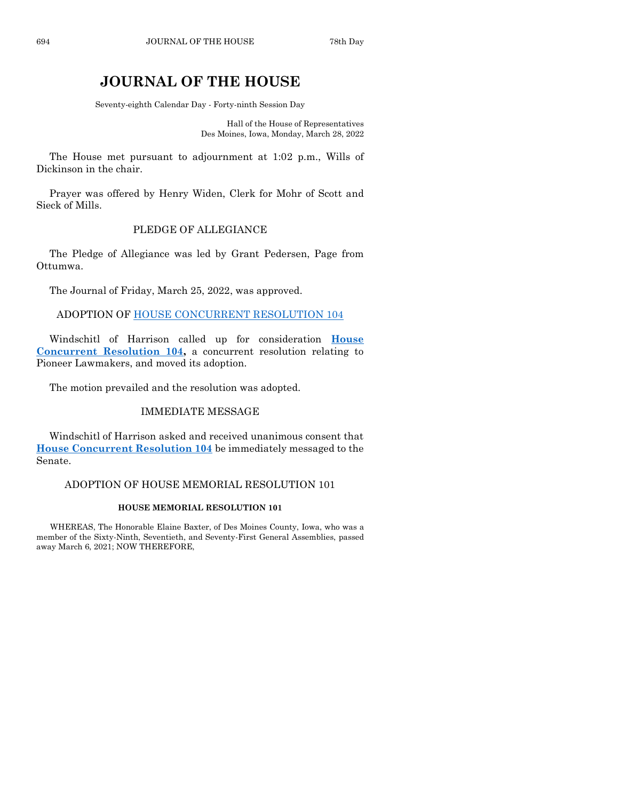# **JOURNAL OF THE HOUSE**

Seventy-eighth Calendar Day - Forty-ninth Session Day

Hall of the House of Representatives Des Moines, Iowa, Monday, March 28, 2022

The House met pursuant to adjournment at 1:02 p.m., Wills of Dickinson in the chair.

Prayer was offered by Henry Widen, Clerk for Mohr of Scott and Sieck of Mills.

# PLEDGE OF ALLEGIANCE

The Pledge of Allegiance was led by Grant Pedersen, Page from Ottumwa.

The Journal of Friday, March 25, 2022, was approved.

ADOPTION OF [HOUSE CONCURRENT RESOLUTION 104](https://www.legis.iowa.gov/legislation/BillBook?ga=89&ba=HCR104)

Windschitl of Harrison called up for consideration **[House](https://www.legis.iowa.gov/legislation/BillBook?ga=89&ba=HCR104)  [Concurrent Resolution 104,](https://www.legis.iowa.gov/legislation/BillBook?ga=89&ba=HCR104)** a concurrent resolution relating to Pioneer Lawmakers, and moved its adoption.

The motion prevailed and the resolution was adopted.

# IMMEDIATE MESSAGE

Windschitl of Harrison asked and received unanimous consent that **[House Concurrent Resolution 104](https://www.legis.iowa.gov/legislation/BillBook?ga=89&ba=HCR104)** be immediately messaged to the Senate.

#### ADOPTION OF HOUSE MEMORIAL RESOLUTION 101

#### **HOUSE MEMORIAL RESOLUTION 101**

WHEREAS, The Honorable Elaine Baxter, of Des Moines County, Iowa, who was a member of the Sixty-Ninth, Seventieth, and Seventy-First General Assemblies, passed away March 6, 2021; NOW THEREFORE,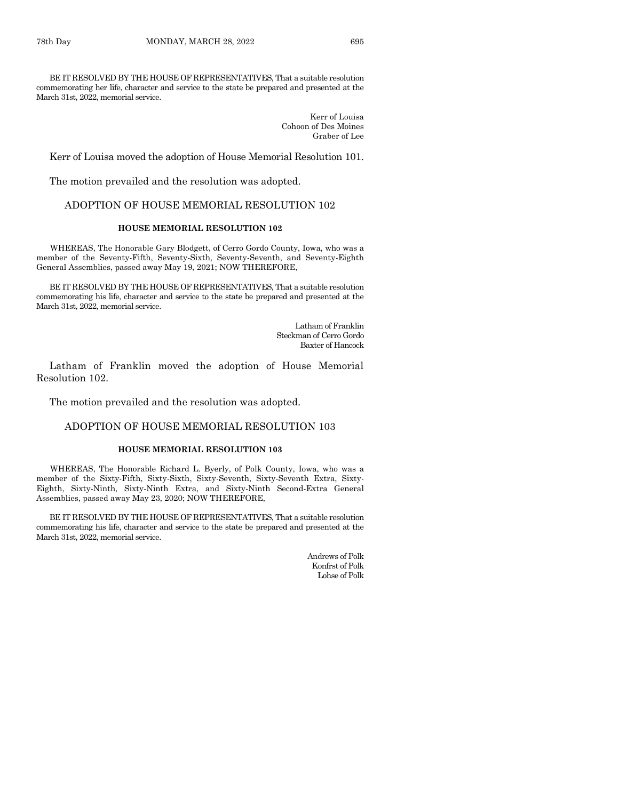BE IT RESOLVED BY THE HOUSE OF REPRESENTATIVES, That a suitable resolution commemorating her life, character and service to the state be prepared and presented at the March 31st, 2022, memorial service.

> Kerr of Louisa Cohoon of Des Moines Graber of Lee

Kerr of Louisa moved the adoption of House Memorial Resolution 101.

The motion prevailed and the resolution was adopted.

# ADOPTION OF HOUSE MEMORIAL RESOLUTION 102

# **HOUSE MEMORIAL RESOLUTION 102**

WHEREAS, The Honorable Gary Blodgett, of Cerro Gordo County, Iowa, who was a member of the Seventy-Fifth, Seventy-Sixth, Seventy-Seventh, and Seventy-Eighth General Assemblies, passed away May 19, 2021; NOW THEREFORE,

BE IT RESOLVED BY THE HOUSE OF REPRESENTATIVES, That a suitable resolution commemorating his life, character and service to the state be prepared and presented at the March 31st, 2022, memorial service.

> Latham of Franklin Steckman of Cerro Gordo Baxter of Hancock

Latham of Franklin moved the adoption of House Memorial Resolution 102.

The motion prevailed and the resolution was adopted.

#### ADOPTION OF HOUSE MEMORIAL RESOLUTION 103

#### **HOUSE MEMORIAL RESOLUTION 103**

WHEREAS, The Honorable Richard L. Byerly, of Polk County, Iowa, who was a member of the Sixty-Fifth, Sixty-Sixth, Sixty-Seventh, Sixty-Seventh Extra, Sixty-Eighth, Sixty-Ninth, Sixty-Ninth Extra, and Sixty-Ninth Second-Extra General Assemblies, passed away May 23, 2020; NOW THEREFORE,

BE IT RESOLVED BY THE HOUSE OF REPRESENTATIVES, That a suitable resolution commemorating his life, character and service to the state be prepared and presented at the March 31st, 2022, memorial service.

> Andrews of Polk Konfrst of Polk Lohse of Polk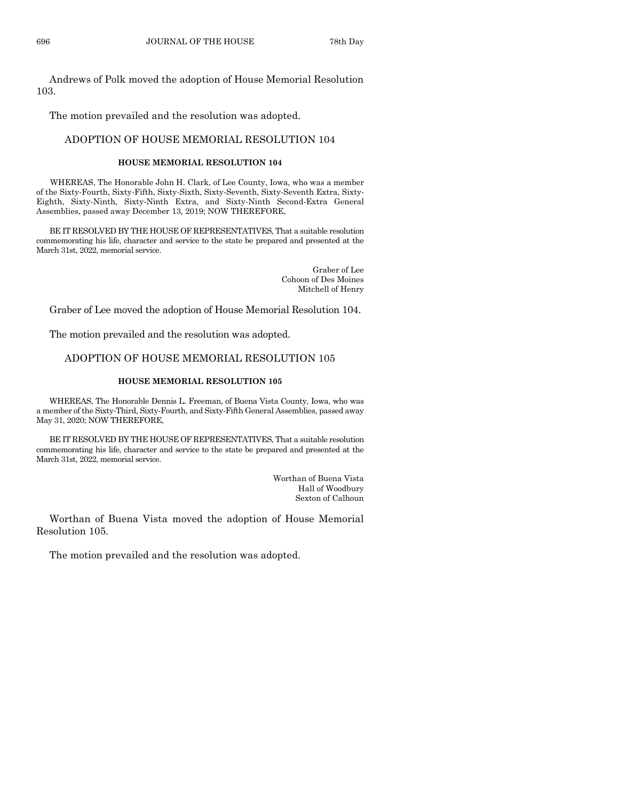Andrews of Polk moved the adoption of House Memorial Resolution 103.

The motion prevailed and the resolution was adopted.

# ADOPTION OF HOUSE MEMORIAL RESOLUTION 104

#### **HOUSE MEMORIAL RESOLUTION 104**

WHEREAS, The Honorable John H. Clark, of Lee County, Iowa, who was a member of the Sixty-Fourth, Sixty-Fifth, Sixty-Sixth, Sixty-Seventh, Sixty-Seventh Extra, Sixty-Eighth, Sixty-Ninth, Sixty-Ninth Extra, and Sixty-Ninth Second-Extra General Assemblies, passed away December 13, 2019; NOW THEREFORE,

BE IT RESOLVED BY THE HOUSE OF REPRESENTATIVES, That a suitable resolution commemorating his life, character and service to the state be prepared and presented at the March 31st, 2022, memorial service.

> Graber of Lee Cohoon of Des Moines Mitchell of Henry

Graber of Lee moved the adoption of House Memorial Resolution 104.

The motion prevailed and the resolution was adopted.

# ADOPTION OF HOUSE MEMORIAL RESOLUTION 105

#### **HOUSE MEMORIAL RESOLUTION 105**

WHEREAS, The Honorable Dennis L. Freeman, of Buena Vista County, Iowa, who was a member of the Sixty-Third, Sixty-Fourth, and Sixty-Fifth General Assemblies, passed away May 31, 2020; NOW THEREFORE,

BE IT RESOLVED BY THE HOUSE OF REPRESENTATIVES, That a suitable resolution commemorating his life, character and service to the state be prepared and presented at the March 31st, 2022, memorial service.

> Worthan of Buena Vista Hall of Woodbury Sexton of Calhoun

Worthan of Buena Vista moved the adoption of House Memorial Resolution 105.

The motion prevailed and the resolution was adopted.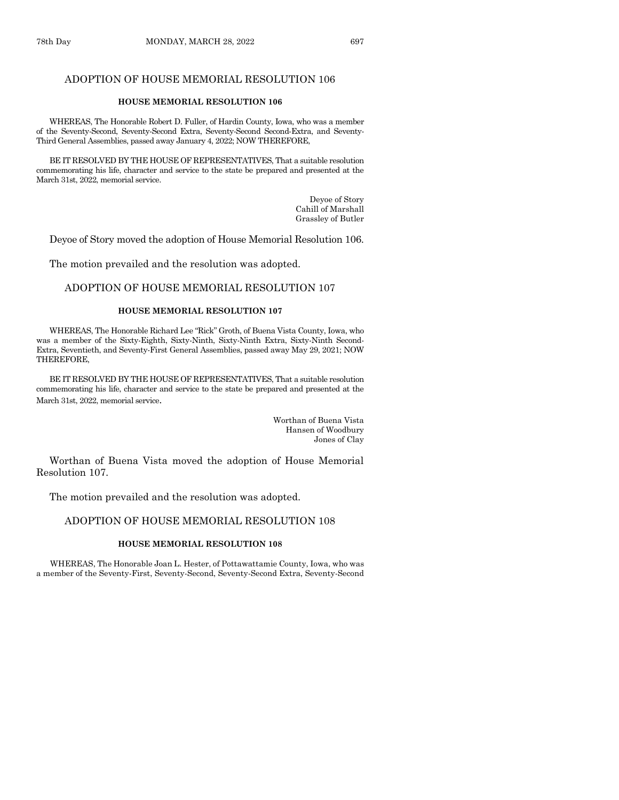# ADOPTION OF HOUSE MEMORIAL RESOLUTION 106

#### **HOUSE MEMORIAL RESOLUTION 106**

WHEREAS, The Honorable Robert D. Fuller, of Hardin County, Iowa, who was a member of the Seventy-Second, Seventy-Second Extra, Seventy-Second Second-Extra, and Seventy-Third General Assemblies, passed away January 4, 2022; NOW THEREFORE,

BE IT RESOLVED BY THE HOUSE OF REPRESENTATIVES, That a suitable resolution commemorating his life, character and service to the state be prepared and presented at the March 31st, 2022, memorial service.

> Deyoe of Story Cahill of Marshall Grassley of Butler

Deyoe of Story moved the adoption of House Memorial Resolution 106.

The motion prevailed and the resolution was adopted.

#### ADOPTION OF HOUSE MEMORIAL RESOLUTION 107

#### **HOUSE MEMORIAL RESOLUTION 107**

WHEREAS, The Honorable Richard Lee "Rick" Groth, of Buena Vista County, Iowa, who was a member of the Sixty-Eighth, Sixty-Ninth, Sixty-Ninth Extra, Sixty-Ninth Second-Extra, Seventieth, and Seventy-First General Assemblies, passed away May 29, 2021; NOW THEREFORE,

BE IT RESOLVED BY THE HOUSE OF REPRESENTATIVES, That a suitable resolution commemorating his life, character and service to the state be prepared and presented at the March 31st, 2022, memorial service.

> Worthan of Buena Vista Hansen of Woodbury Jones of Clay

Worthan of Buena Vista moved the adoption of House Memorial Resolution 107.

The motion prevailed and the resolution was adopted.

#### ADOPTION OF HOUSE MEMORIAL RESOLUTION 108

#### **HOUSE MEMORIAL RESOLUTION 108**

WHEREAS, The Honorable Joan L. Hester, of Pottawattamie County, Iowa, who was a member of the Seventy-First, Seventy-Second, Seventy-Second Extra, Seventy-Second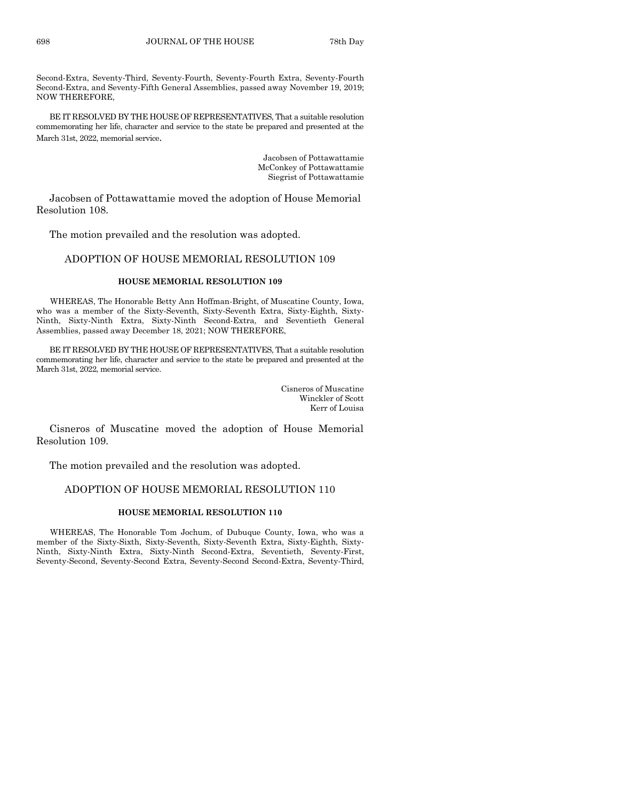Second-Extra, Seventy-Third, Seventy-Fourth, Seventy-Fourth Extra, Seventy-Fourth Second-Extra, and Seventy-Fifth General Assemblies, passed away November 19, 2019; NOW THEREFORE,

BE IT RESOLVED BY THE HOUSE OF REPRESENTATIVES, That a suitable resolution commemorating her life, character and service to the state be prepared and presented at the March 31st, 2022, memorial service.

> Jacobsen of Pottawattamie McConkey of Pottawattamie Siegrist of Pottawattamie

Jacobsen of Pottawattamie moved the adoption of House Memorial Resolution 108.

The motion prevailed and the resolution was adopted.

#### ADOPTION OF HOUSE MEMORIAL RESOLUTION 109

#### **HOUSE MEMORIAL RESOLUTION 109**

WHEREAS, The Honorable Betty Ann Hoffman-Bright, of Muscatine County, Iowa, who was a member of the Sixty-Seventh, Sixty-Seventh Extra, Sixty-Eighth, Sixty-Ninth, Sixty-Ninth Extra, Sixty-Ninth Second-Extra, and Seventieth General Assemblies, passed away December 18, 2021; NOW THEREFORE,

BE IT RESOLVED BY THE HOUSE OF REPRESENTATIVES, That a suitable resolution commemorating her life, character and service to the state be prepared and presented at the March 31st, 2022, memorial service.

> Cisneros of Muscatine Winckler of Scott Kerr of Louisa

Cisneros of Muscatine moved the adoption of House Memorial Resolution 109.

The motion prevailed and the resolution was adopted.

# ADOPTION OF HOUSE MEMORIAL RESOLUTION 110

#### **HOUSE MEMORIAL RESOLUTION 110**

WHEREAS, The Honorable Tom Jochum, of Dubuque County, Iowa, who was a member of the Sixty-Sixth, Sixty-Seventh, Sixty-Seventh Extra, Sixty-Eighth, Sixty-Ninth, Sixty-Ninth Extra, Sixty-Ninth Second-Extra, Seventieth, Seventy-First, Seventy-Second, Seventy-Second Extra, Seventy-Second Second-Extra, Seventy-Third,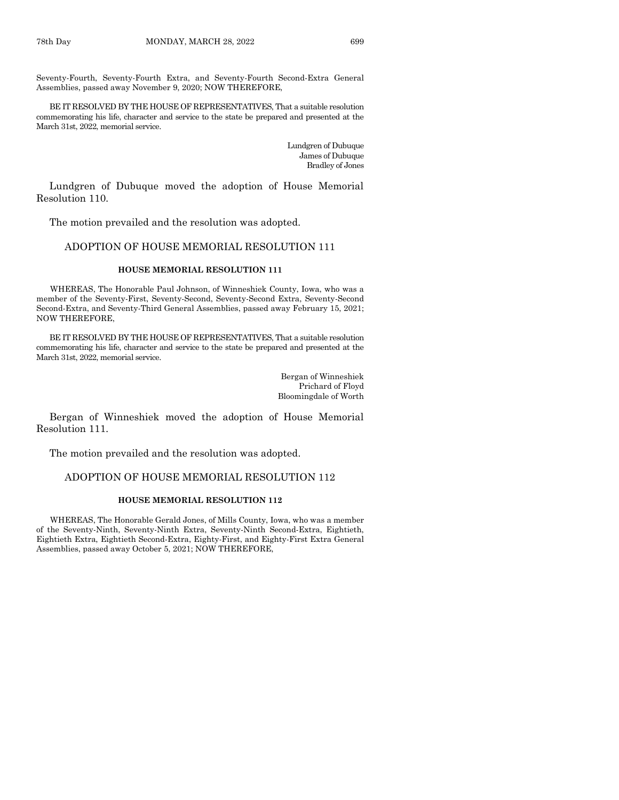Seventy-Fourth, Seventy-Fourth Extra, and Seventy-Fourth Second-Extra General Assemblies, passed away November 9, 2020; NOW THEREFORE,

BE IT RESOLVED BY THE HOUSE OF REPRESENTATIVES, That a suitable resolution commemorating his life, character and service to the state be prepared and presented at the March 31st, 2022, memorial service.

> Lundgren of Dubuque James of Dubuque Bradley of Jones

Lundgren of Dubuque moved the adoption of House Memorial Resolution 110.

The motion prevailed and the resolution was adopted.

# ADOPTION OF HOUSE MEMORIAL RESOLUTION 111

#### **HOUSE MEMORIAL RESOLUTION 111**

WHEREAS, The Honorable Paul Johnson, of Winneshiek County, Iowa, who was a member of the Seventy-First, Seventy-Second, Seventy-Second Extra, Seventy-Second Second-Extra, and Seventy-Third General Assemblies, passed away February 15, 2021; NOW THEREFORE,

BE IT RESOLVED BY THE HOUSE OF REPRESENTATIVES, That a suitable resolution commemorating his life, character and service to the state be prepared and presented at the March 31st, 2022, memorial service.

> Bergan of Winneshiek Prichard of Floyd Bloomingdale of Worth

Bergan of Winneshiek moved the adoption of House Memorial Resolution 111.

The motion prevailed and the resolution was adopted.

#### ADOPTION OF HOUSE MEMORIAL RESOLUTION 112

#### **HOUSE MEMORIAL RESOLUTION 112**

WHEREAS, The Honorable Gerald Jones, of Mills County, Iowa, who was a member of the Seventy-Ninth, Seventy-Ninth Extra, Seventy-Ninth Second-Extra, Eightieth, Eightieth Extra, Eightieth Second-Extra, Eighty-First, and Eighty-First Extra General Assemblies, passed away October 5, 2021; NOW THEREFORE,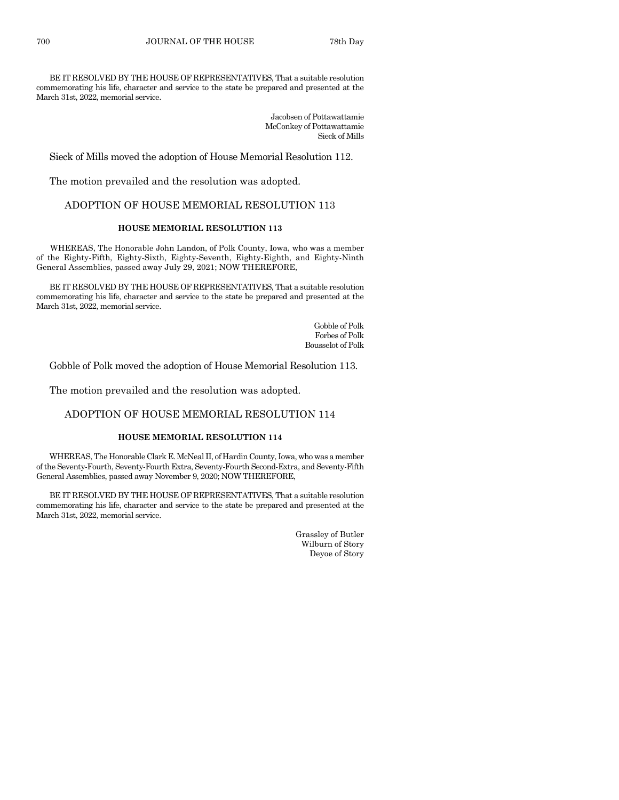BE IT RESOLVED BY THE HOUSE OF REPRESENTATIVES, That a suitable resolution commemorating his life, character and service to the state be prepared and presented at the March 31st, 2022, memorial service.

> Jacobsen of Pottawattamie McConkey of Pottawattamie Sieck of Mills

Sieck of Mills moved the adoption of House Memorial Resolution 112.

The motion prevailed and the resolution was adopted.

# ADOPTION OF HOUSE MEMORIAL RESOLUTION 113

# **HOUSE MEMORIAL RESOLUTION 113**

WHEREAS, The Honorable John Landon, of Polk County, Iowa, who was a member of the Eighty-Fifth, Eighty-Sixth, Eighty-Seventh, Eighty-Eighth, and Eighty-Ninth General Assemblies, passed away July 29, 2021; NOW THEREFORE,

BE IT RESOLVED BY THE HOUSE OF REPRESENTATIVES, That a suitable resolution commemorating his life, character and service to the state be prepared and presented at the March 31st, 2022, memorial service.

> Gobble of Polk Forbes of Polk Bousselot of Polk

Gobble of Polk moved the adoption of House Memorial Resolution 113.

The motion prevailed and the resolution was adopted.

#### ADOPTION OF HOUSE MEMORIAL RESOLUTION 114

#### **HOUSE MEMORIAL RESOLUTION 114**

WHEREAS, The Honorable Clark E. McNeal II, of Hardin County, Iowa, who was a member of the Seventy-Fourth, Seventy-Fourth Extra, Seventy-Fourth Second-Extra, and Seventy-Fifth General Assemblies, passed away November 9, 2020; NOW THEREFORE,

BE IT RESOLVED BY THE HOUSE OF REPRESENTATIVES, That a suitable resolution commemorating his life, character and service to the state be prepared and presented at the March 31st, 2022, memorial service.

Grassley of Butler Wilburn of Story Deyoe of Story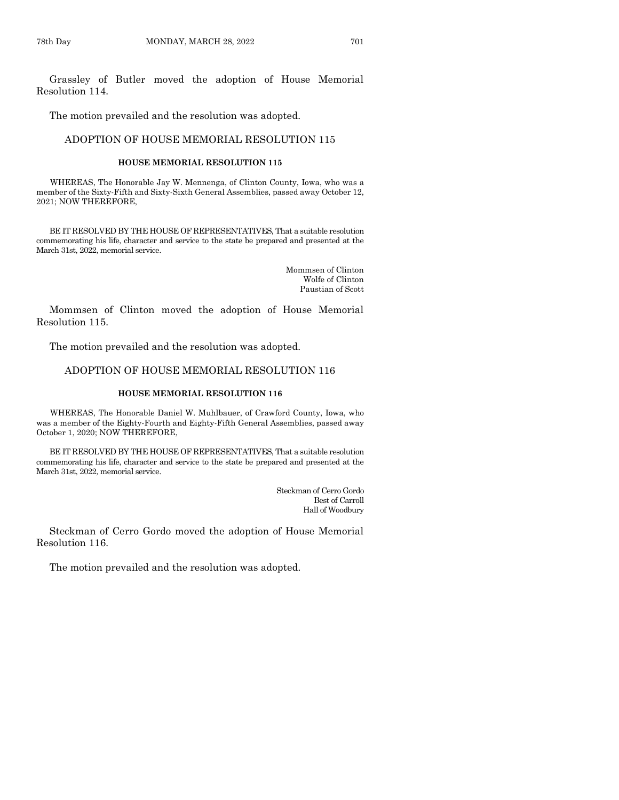Grassley of Butler moved the adoption of House Memorial Resolution 114.

The motion prevailed and the resolution was adopted.

# ADOPTION OF HOUSE MEMORIAL RESOLUTION 115

#### **HOUSE MEMORIAL RESOLUTION 115**

WHEREAS, The Honorable Jay W. Mennenga, of Clinton County, Iowa, who was a member of the Sixty-Fifth and Sixty-Sixth General Assemblies, passed away October 12, 2021; NOW THEREFORE,

BE IT RESOLVED BY THE HOUSE OF REPRESENTATIVES, That a suitable resolution commemorating his life, character and service to the state be prepared and presented at the March 31st, 2022, memorial service.

> Mommsen of Clinton Wolfe of Clinton Paustian of Scott

Mommsen of Clinton moved the adoption of House Memorial Resolution 115.

The motion prevailed and the resolution was adopted.

#### ADOPTION OF HOUSE MEMORIAL RESOLUTION 116

#### **HOUSE MEMORIAL RESOLUTION 116**

WHEREAS, The Honorable Daniel W. Muhlbauer, of Crawford County, Iowa, who was a member of the Eighty-Fourth and Eighty-Fifth General Assemblies, passed away October 1, 2020; NOW THEREFORE,

BE IT RESOLVED BY THE HOUSE OF REPRESENTATIVES, That a suitable resolution commemorating his life, character and service to the state be prepared and presented at the March 31st, 2022, memorial service.

> Steckman of Cerro Gordo Best of Carroll Hall of Woodbury

Steckman of Cerro Gordo moved the adoption of House Memorial Resolution 116.

The motion prevailed and the resolution was adopted.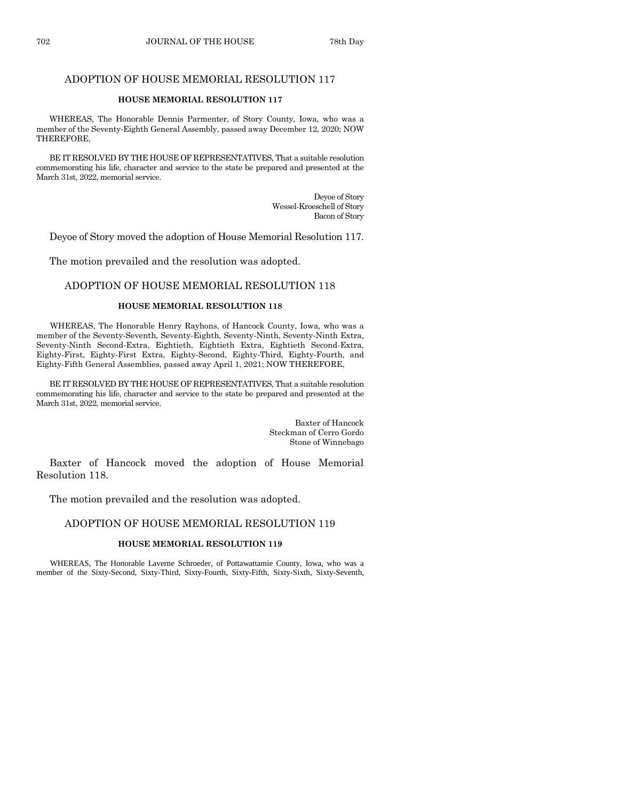# ADOPTION OF HOUSE MEMORIAL RESOLUTION 117

#### **HOUSE MEMORIAL RESOLUTION 117**

WHEREAS, The Honorable Dennis Parmenter, of Story County, Iowa, who was a member of the Seventy-Eighth General Assembly, passed away December 12, 2020; NOW THEREFORE,

BE IT RESOLVED BY THE HOUSE OF REPRESENTATIVES, That a suitable resolution commemorating his life, character and service to the state be prepared and presented at the March 31st, 2022, memorial service.

> Deyoe of Story Wessel-Kroeschell of Story Bacon of Story

Deyoe of Story moved the adoption of House Memorial Resolution 117.

The motion prevailed and the resolution was adopted.

#### ADOPTION OF HOUSE MEMORIAL RESOLUTION 118

#### **HOUSE MEMORIAL RESOLUTION 118**

WHEREAS, The Honorable Henry Rayhons, of Hancock County, Iowa, who was a member of the Seventy-Seventh, Seventy-Eighth, Seventy-Ninth, Seventy-Ninth Extra, Seventy-Ninth Second-Extra, Eightieth, Eightieth Extra, Eightieth Second-Extra, Eighty-First, Eighty-First Extra, Eighty-Second, Eighty-Third, Eighty-Fourth, and Eighty-Fifth General Assemblies, passed away April 1, 2021; NOW THEREFORE,

BE IT RESOLVED BY THE HOUSE OF REPRESENTATIVES, That a suitable resolution commemorating his life, character and service to the state be prepared and presented at the March 31st, 2022, memorial service.

> Baxter of Hancock Steckman of Cerro Gordo Stone of Winnebago

Baxter of Hancock moved the adoption of House Memorial Resolution 118.

The motion prevailed and the resolution was adopted.

### ADOPTION OF HOUSE MEMORIAL RESOLUTION 119

#### **HOUSE MEMORIAL RESOLUTION 119**

WHEREAS, The Honorable Laverne Schroeder, of Pottawattamie County, Iowa, who was a member of the Sixty-Second, Sixty-Third, Sixty-Fourth, Sixty-Fifth, Sixty-Sixth, Sixty-Seventh,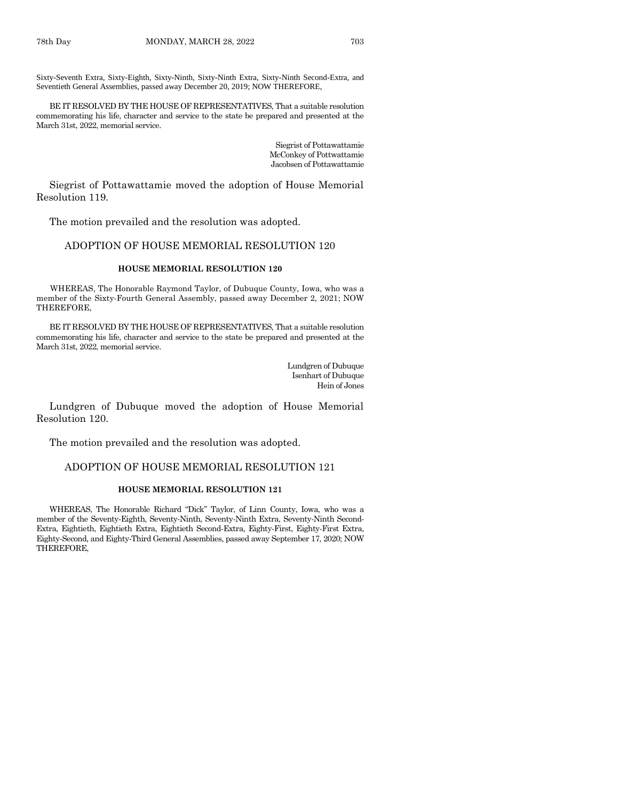Sixty-Seventh Extra, Sixty-Eighth, Sixty-Ninth, Sixty-Ninth Extra, Sixty-Ninth Second-Extra, and Seventieth General Assemblies, passed away December 20, 2019; NOW THEREFORE,

BE IT RESOLVED BY THE HOUSE OF REPRESENTATIVES, That a suitable resolution commemorating his life, character and service to the state be prepared and presented at the March 31st, 2022, memorial service.

> Siegrist of Pottawattamie McConkey of Pottwattamie Jacobsen of Pottawattamie

Siegrist of Pottawattamie moved the adoption of House Memorial Resolution 119.

The motion prevailed and the resolution was adopted.

#### ADOPTION OF HOUSE MEMORIAL RESOLUTION 120

#### **HOUSE MEMORIAL RESOLUTION 120**

WHEREAS, The Honorable Raymond Taylor, of Dubuque County, Iowa, who was a member of the Sixty-Fourth General Assembly, passed away December 2, 2021; NOW THEREFORE,

BE IT RESOLVED BY THE HOUSE OF REPRESENTATIVES, That a suitable resolution commemorating his life, character and service to the state be prepared and presented at the March 31st, 2022, memorial service.

> Lundgren of Dubuque Isenhart of Dubuque Hein of Jones

Lundgren of Dubuque moved the adoption of House Memorial Resolution 120.

The motion prevailed and the resolution was adopted.

#### ADOPTION OF HOUSE MEMORIAL RESOLUTION 121

#### **HOUSE MEMORIAL RESOLUTION 121**

WHEREAS, The Honorable Richard "Dick" Taylor, of Linn County, Iowa, who was a member of the Seventy-Eighth, Seventy-Ninth, Seventy-Ninth Extra, Seventy-Ninth Second-Extra, Eightieth, Eightieth Extra, Eightieth Second-Extra, Eighty-First, Eighty-First Extra, Eighty-Second, and Eighty-Third General Assemblies, passed away September 17, 2020; NOW THEREFORE,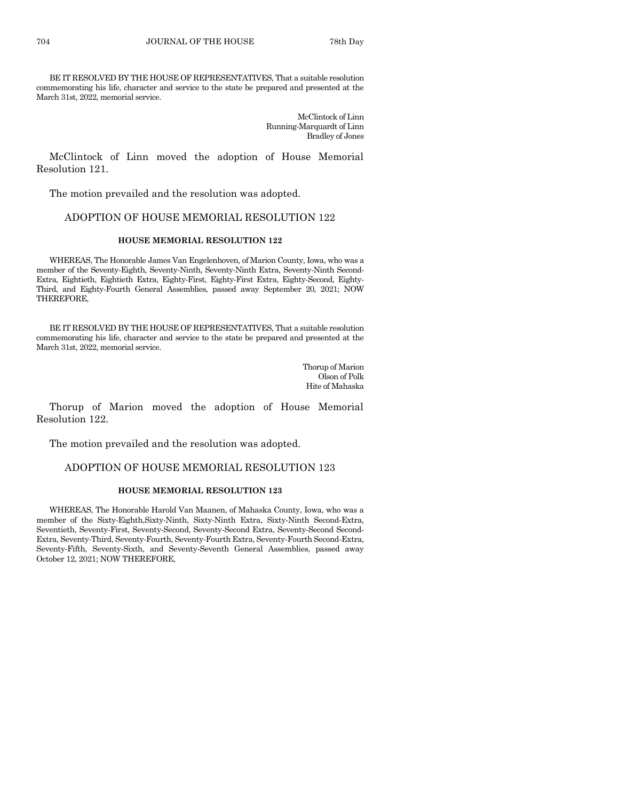BE IT RESOLVED BY THE HOUSE OF REPRESENTATIVES, That a suitable resolution commemorating his life, character and service to the state be prepared and presented at the March 31st, 2022, memorial service.

> McClintock of Linn Running-Marquardt of Linn Bradley of Jones

McClintock of Linn moved the adoption of House Memorial Resolution 121.

The motion prevailed and the resolution was adopted.

# ADOPTION OF HOUSE MEMORIAL RESOLUTION 122

#### **HOUSE MEMORIAL RESOLUTION 122**

WHEREAS, The Honorable James Van Engelenhoven, of Marion County, Iowa, who was a member of the Seventy-Eighth, Seventy-Ninth, Seventy-Ninth Extra, Seventy-Ninth Second-Extra, Eightieth, Eightieth Extra, Eighty-First, Eighty-First Extra, Eighty-Second, Eighty-Third, and Eighty-Fourth General Assemblies, passed away September 20, 2021; NOW THEREFORE,

BE IT RESOLVED BY THE HOUSE OF REPRESENTATIVES, That a suitable resolution commemorating his life, character and service to the state be prepared and presented at the March 31st, 2022, memorial service.

> Thorup of Marion Olson of Polk Hite of Mahaska

Thorup of Marion moved the adoption of House Memorial Resolution 122.

The motion prevailed and the resolution was adopted.

# ADOPTION OF HOUSE MEMORIAL RESOLUTION 123

#### **HOUSE MEMORIAL RESOLUTION 123**

WHEREAS, The Honorable Harold Van Maanen, of Mahaska County, Iowa, who was a member of the Sixty-Eighth,Sixty-Ninth, Sixty-Ninth Extra, Sixty-Ninth Second-Extra, Seventieth, Seventy-First, Seventy-Second, Seventy-Second Extra, Seventy-Second Second-Extra, Seventy-Third, Seventy-Fourth, Seventy-Fourth Extra, Seventy-Fourth Second-Extra, Seventy-Fifth, Seventy-Sixth, and Seventy-Seventh General Assemblies, passed away October 12, 2021; NOW THEREFORE,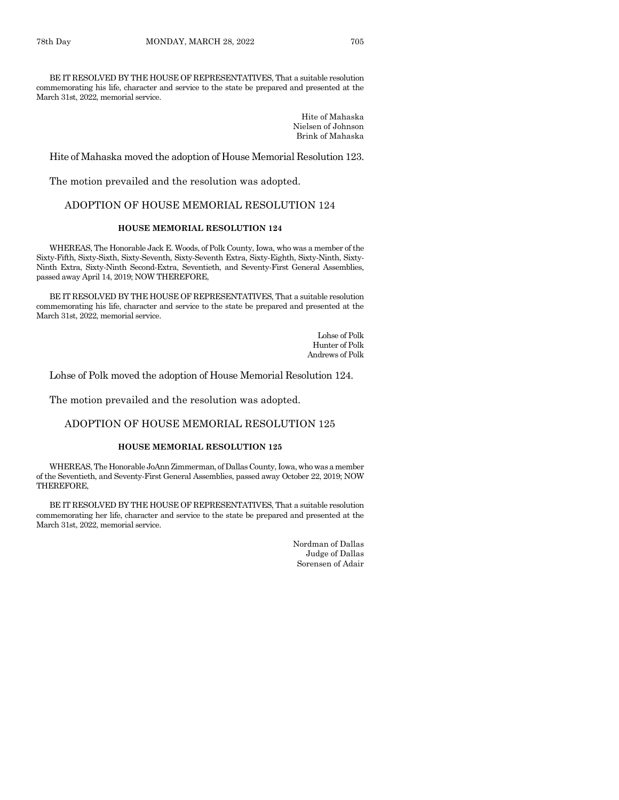BE IT RESOLVED BY THE HOUSE OF REPRESENTATIVES, That a suitable resolution commemorating his life, character and service to the state be prepared and presented at the March 31st, 2022, memorial service.

> Hite of Mahaska Nielsen of Johnson Brink of Mahaska

Hite of Mahaska moved the adoption of House Memorial Resolution 123.

The motion prevailed and the resolution was adopted.

# ADOPTION OF HOUSE MEMORIAL RESOLUTION 124

# **HOUSE MEMORIAL RESOLUTION 124**

WHEREAS, The Honorable Jack E. Woods, of Polk County, Iowa, who was a member of the Sixty-Fifth, Sixty-Sixth, Sixty-Seventh, Sixty-Seventh Extra, Sixty-Eighth, Sixty-Ninth, Sixty-Ninth Extra, Sixty-Ninth Second-Extra, Seventieth, and Seventy-First General Assemblies, passed away April 14, 2019; NOW THEREFORE,

BE IT RESOLVED BY THE HOUSE OF REPRESENTATIVES, That a suitable resolution commemorating his life, character and service to the state be prepared and presented at the March 31st, 2022, memorial service.

> Lohse of Polk Hunter of Polk Andrews of Polk

Lohse of Polk moved the adoption of House Memorial Resolution 124.

The motion prevailed and the resolution was adopted.

#### ADOPTION OF HOUSE MEMORIAL RESOLUTION 125

#### **HOUSE MEMORIAL RESOLUTION 125**

WHEREAS, The Honorable JoAnn Zimmerman, of Dallas County, Iowa, who was a member of the Seventieth, and Seventy-First General Assemblies, passed away October 22, 2019; NOW THEREFORE,

BE IT RESOLVED BY THE HOUSE OF REPRESENTATIVES, That a suitable resolution commemorating her life, character and service to the state be prepared and presented at the March 31st, 2022, memorial service.

> Nordman of Dallas Judge of Dallas Sorensen of Adair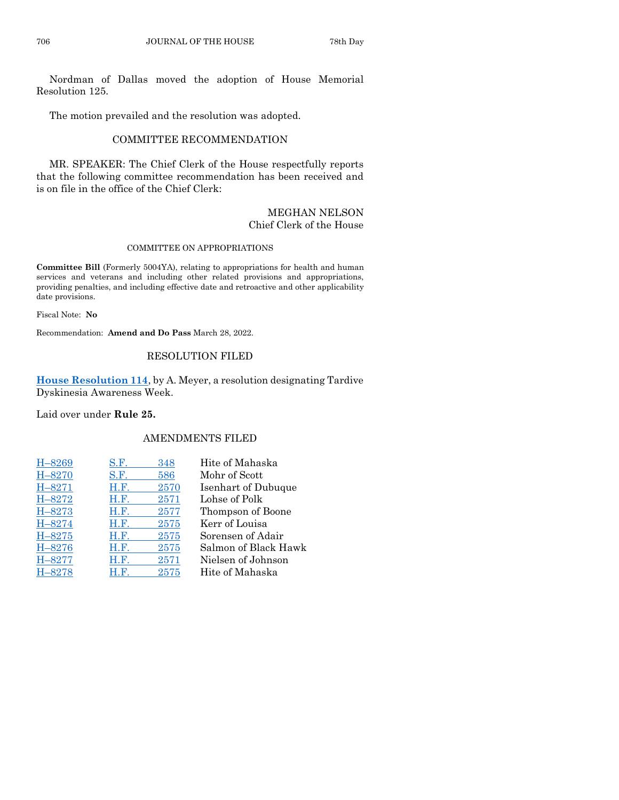Nordman of Dallas moved the adoption of House Memorial Resolution 125.

The motion prevailed and the resolution was adopted.

# COMMITTEE RECOMMENDATION

MR. SPEAKER: The Chief Clerk of the House respectfully reports that the following committee recommendation has been received and is on file in the office of the Chief Clerk:

# MEGHAN NELSON Chief Clerk of the House

#### COMMITTEE ON APPROPRIATIONS

**Committee Bill** (Formerly 5004YA), relating to appropriations for health and human services and veterans and including other related provisions and appropriations, providing penalties, and including effective date and retroactive and other applicability date provisions.

Fiscal Note: **No**

Recommendation: **Amend and Do Pass** March 28, 2022.

# RESOLUTION FILED

**[House Resolution 114](https://www.legis.iowa.gov/legislation/BillBook?ga=89&ba=HR114)**, by A. Meyer, a resolution designating Tardive Dyskinesia Awareness Week.

Laid over under **Rule 25.**

# AMENDMENTS FILED

| H-8269     | S.F. | 348  | Hite of Mahaska      |
|------------|------|------|----------------------|
| H-8270     | S.F. | 586  | Mohr of Scott        |
| $H - 8271$ | H.F. | 2570 | Isenhart of Dubuque  |
| H-8272     | H.F. | 2571 | Lohse of Polk        |
| H-8273     | H.F. | 2577 | Thompson of Boone    |
| H-8274     | H.F. | 2575 | Kerr of Louisa       |
| $H - 8275$ | H.F. | 2575 | Sorensen of Adair    |
| H-8276     | H.F. | 2575 | Salmon of Black Hawk |
| H-8277     | H.F. | 2571 | Nielsen of Johnson   |
| H-8278     | H.F. | 2575 | Hite of Mahaska      |
|            |      |      |                      |